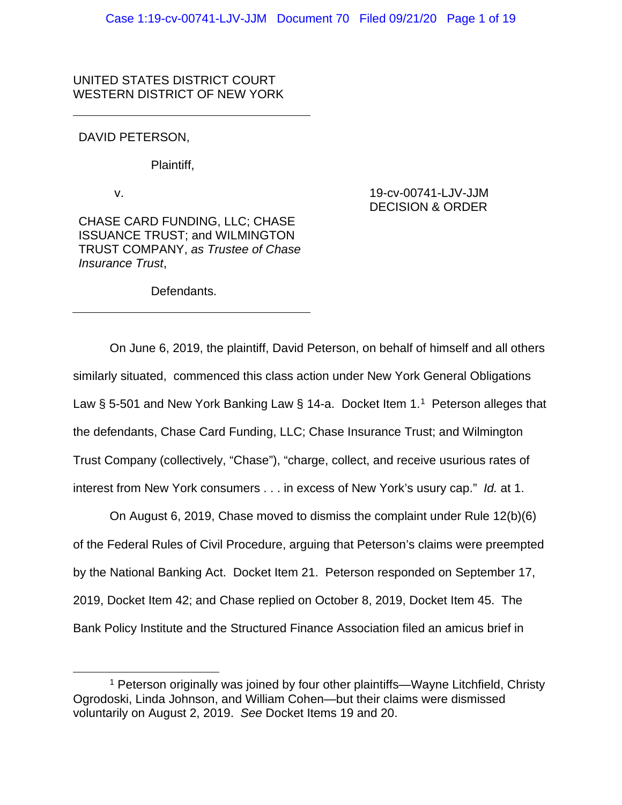## UNITED STATES DISTRICT COURT WESTERN DISTRICT OF NEW YORK

## DAVID PETERSON,

Plaintiff,

v.

CHASE CARD FUNDING, LLC; CHASE ISSUANCE TRUST; and WILMINGTON TRUST COMPANY, *as Trustee of Chase Insurance Trust*,

Defendants.

# On June 6, 2019, the plaintiff, David Peterson, on behalf of himself and all others similarly situated, commenced this class action under New York General Obligations Law § 5-50[1](#page-0-0) and New York Banking Law § 14-a. Docket Item 1.<sup>1</sup> Peterson alleges that the defendants, Chase Card Funding, LLC; Chase Insurance Trust; and Wilmington Trust Company (collectively, "Chase"), "charge, collect, and receive usurious rates of interest from New York consumers . . . in excess of New York's usury cap." *Id.* at 1.

On August 6, 2019, Chase moved to dismiss the complaint under Rule 12(b)(6) of the Federal Rules of Civil Procedure, arguing that Peterson's claims were preempted by the National Banking Act. Docket Item 21. Peterson responded on September 17, 2019, Docket Item 42; and Chase replied on October 8, 2019, Docket Item 45. The Bank Policy Institute and the Structured Finance Association filed an amicus brief in

## 19-cv-00741-LJV-JJM DECISION & ORDER

<span id="page-0-0"></span><sup>1</sup> Peterson originally was joined by four other plaintiffs—Wayne Litchfield, Christy Ogrodoski, Linda Johnson, and William Cohen—but their claims were dismissed voluntarily on August 2, 2019. *See* Docket Items 19 and 20.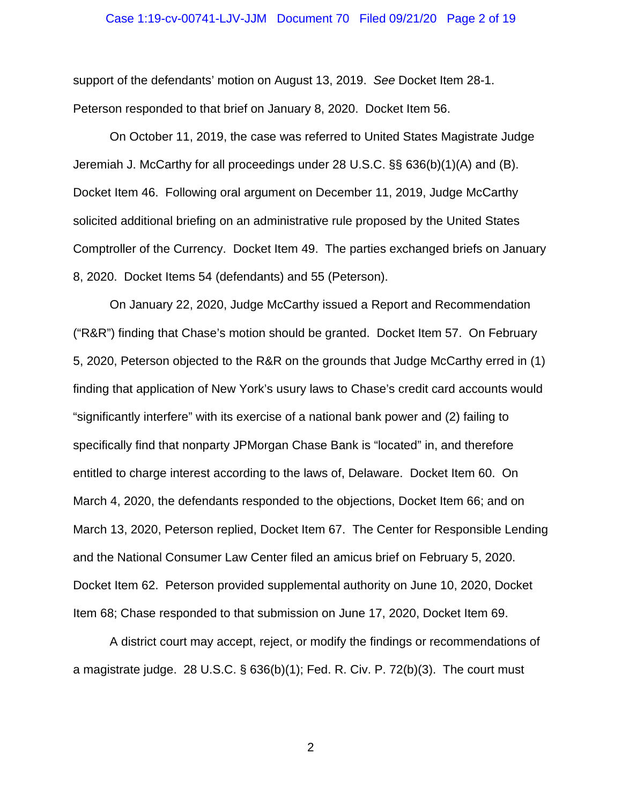#### Case 1:19-cv-00741-LJV-JJM Document 70 Filed 09/21/20 Page 2 of 19

support of the defendants' motion on August 13, 2019. *See* Docket Item 28-1. Peterson responded to that brief on January 8, 2020. Docket Item 56.

On October 11, 2019, the case was referred to United States Magistrate Judge Jeremiah J. McCarthy for all proceedings under 28 U.S.C. §§ 636(b)(1)(A) and (B). Docket Item 46. Following oral argument on December 11, 2019, Judge McCarthy solicited additional briefing on an administrative rule proposed by the United States Comptroller of the Currency. Docket Item 49. The parties exchanged briefs on January 8, 2020. Docket Items 54 (defendants) and 55 (Peterson).

On January 22, 2020, Judge McCarthy issued a Report and Recommendation ("R&R") finding that Chase's motion should be granted. Docket Item 57. On February 5, 2020, Peterson objected to the R&R on the grounds that Judge McCarthy erred in (1) finding that application of New York's usury laws to Chase's credit card accounts would "significantly interfere" with its exercise of a national bank power and (2) failing to specifically find that nonparty JPMorgan Chase Bank is "located" in, and therefore entitled to charge interest according to the laws of, Delaware. Docket Item 60. On March 4, 2020, the defendants responded to the objections, Docket Item 66; and on March 13, 2020, Peterson replied, Docket Item 67. The Center for Responsible Lending and the National Consumer Law Center filed an amicus brief on February 5, 2020. Docket Item 62. Peterson provided supplemental authority on June 10, 2020, Docket Item 68; Chase responded to that submission on June 17, 2020, Docket Item 69.

A district court may accept, reject, or modify the findings or recommendations of a magistrate judge. 28 U.S.C. § 636(b)(1); Fed. R. Civ. P. 72(b)(3). The court must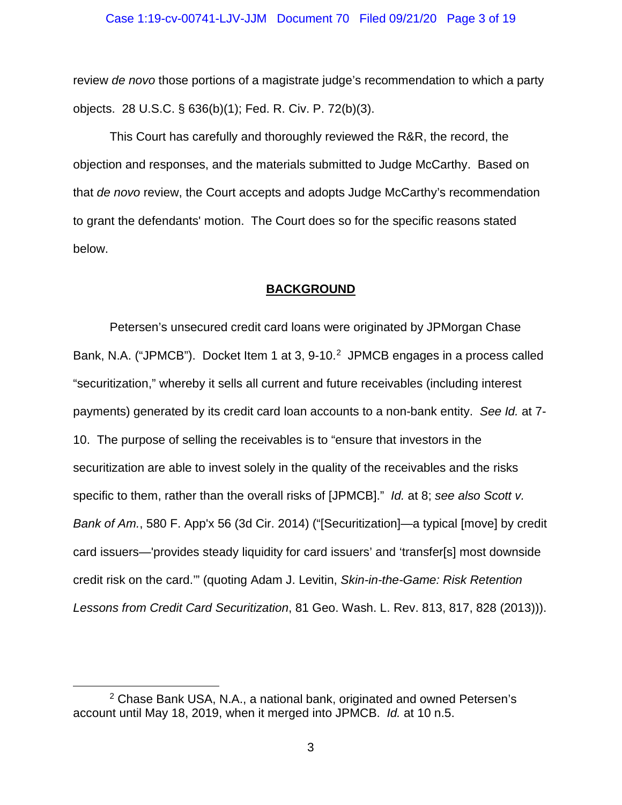review *de novo* those portions of a magistrate judge's recommendation to which a party objects. 28 U.S.C. § 636(b)(1); Fed. R. Civ. P. 72(b)(3).

This Court has carefully and thoroughly reviewed the R&R, the record, the objection and responses, and the materials submitted to Judge McCarthy. Based on that *de novo* review, the Court accepts and adopts Judge McCarthy's recommendation to grant the defendants' motion. The Court does so for the specific reasons stated below.

#### **BACKGROUND**

Petersen's unsecured credit card loans were originated by JPMorgan Chase Bank, N.A. ("JPMCB"). Docket Item 1 at 3, 9-10.<sup>2</sup> JPMCB engages in a process called "securitization," whereby it sells all current and future receivables (including interest payments) generated by its credit card loan accounts to a non-bank entity. *See Id.* at 7- 10. The purpose of selling the receivables is to "ensure that investors in the securitization are able to invest solely in the quality of the receivables and the risks specific to them, rather than the overall risks of [JPMCB]." *Id.* at 8; *see also Scott v. Bank of Am.*, 580 F. App'x 56 (3d Cir. 2014) ("[Securitization]—a typical [move] by credit card issuers—'provides steady liquidity for card issuers' and 'transfer[s] most downside credit risk on the card.'" (quoting Adam J. Levitin, *Skin-in-the-Game: Risk Retention Lessons from Credit Card Securitization*, 81 Geo. Wash. L. Rev. 813, 817, 828 (2013))).

<span id="page-2-0"></span><sup>2</sup> Chase Bank USA, N.A., a national bank, originated and owned Petersen's account until May 18, 2019, when it merged into JPMCB. *Id.* at 10 n.5.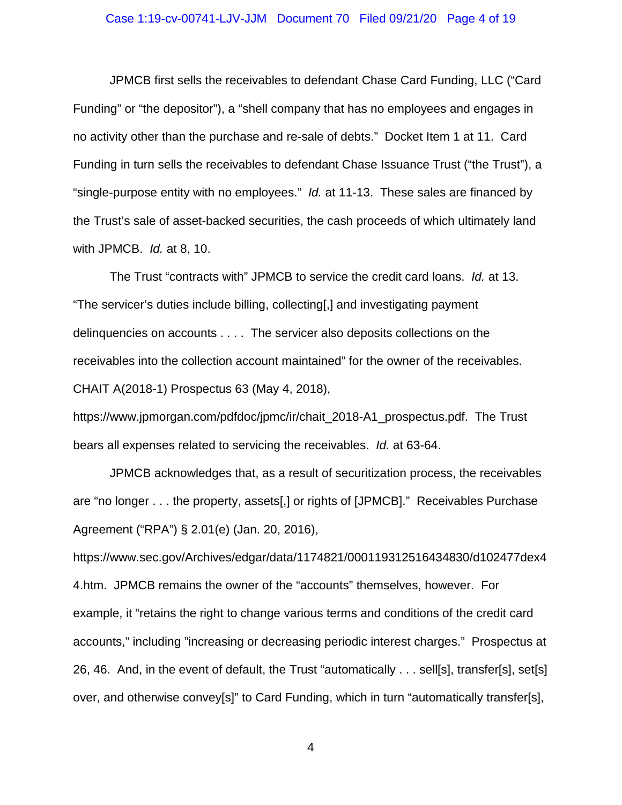#### Case 1:19-cv-00741-LJV-JJM Document 70 Filed 09/21/20 Page 4 of 19

JPMCB first sells the receivables to defendant Chase Card Funding, LLC ("Card Funding" or "the depositor"), a "shell company that has no employees and engages in no activity other than the purchase and re-sale of debts." Docket Item 1 at 11. Card Funding in turn sells the receivables to defendant Chase Issuance Trust ("the Trust"), a "single-purpose entity with no employees." *Id.* at 11-13. These sales are financed by the Trust's sale of asset-backed securities, the cash proceeds of which ultimately land with JPMCB. *Id.* at 8, 10.

The Trust "contracts with" JPMCB to service the credit card loans. *Id.* at 13. "The servicer's duties include billing, collecting[,] and investigating payment delinquencies on accounts . . . . The servicer also deposits collections on the receivables into the collection account maintained" for the owner of the receivables. CHAIT A(2018-1) Prospectus 63 (May 4, 2018),

https://www.jpmorgan.com/pdfdoc/jpmc/ir/chait\_2018-A1\_prospectus.pdf. The Trust bears all expenses related to servicing the receivables. *Id.* at 63-64.

JPMCB acknowledges that, as a result of securitization process, the receivables are "no longer . . . the property, assets[,] or rights of [JPMCB]." Receivables Purchase Agreement ("RPA") § 2.01(e) (Jan. 20, 2016),

https://www.sec.gov/Archives/edgar/data/1174821/000119312516434830/d102477dex4 4.htm. JPMCB remains the owner of the "accounts" themselves, however. For example, it "retains the right to change various terms and conditions of the credit card accounts," including "increasing or decreasing periodic interest charges." Prospectus at 26, 46. And, in the event of default, the Trust "automatically . . . sell[s], transfer[s], set[s] over, and otherwise convey[s]" to Card Funding, which in turn "automatically transfer[s],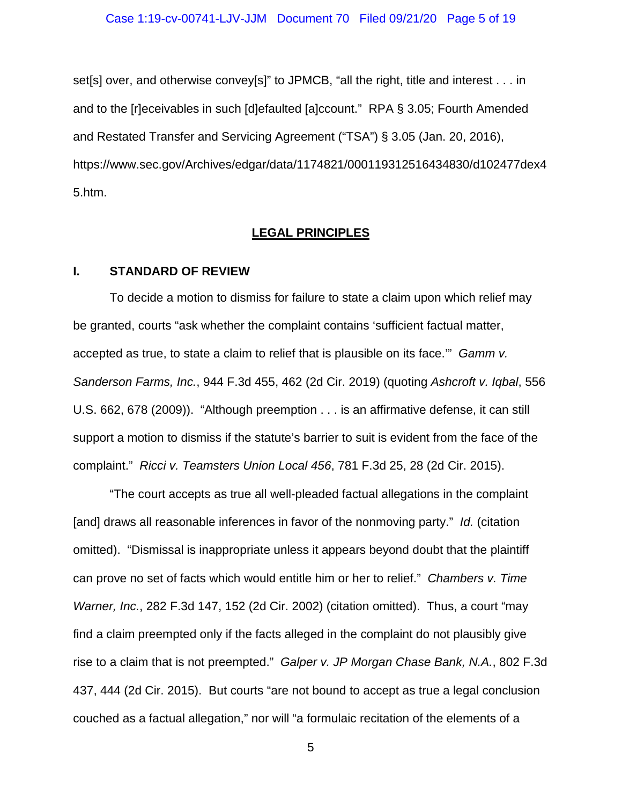set[s] over, and otherwise convey[s]" to JPMCB, "all the right, title and interest . . . in and to the [r]eceivables in such [d]efaulted [a]ccount." RPA § 3.05; Fourth Amended and Restated Transfer and Servicing Agreement ("TSA") § 3.05 (Jan. 20, 2016), https://www.sec.gov/Archives/edgar/data/1174821/000119312516434830/d102477dex4 5.htm.

#### **LEGAL PRINCIPLES**

# **I. STANDARD OF REVIEW**

To decide a motion to dismiss for failure to state a claim upon which relief may be granted, courts "ask whether the complaint contains 'sufficient factual matter, accepted as true, to state a claim to relief that is plausible on its face.'" *Gamm v. Sanderson Farms, Inc.*, 944 F.3d 455, 462 (2d Cir. 2019) (quoting *Ashcroft v. Iqbal*, 556 U.S. 662, 678 (2009)). "Although preemption . . . is an affirmative defense, it can still support a motion to dismiss if the statute's barrier to suit is evident from the face of the complaint." *Ricci v. Teamsters Union Local 456*, 781 F.3d 25, 28 (2d Cir. 2015).

"The court accepts as true all well-pleaded factual allegations in the complaint [and] draws all reasonable inferences in favor of the nonmoving party." *Id.* (citation omitted). "Dismissal is inappropriate unless it appears beyond doubt that the plaintiff can prove no set of facts which would entitle him or her to relief." *Chambers v. Time Warner, Inc.*, 282 F.3d 147, 152 (2d Cir. 2002) (citation omitted). Thus, a court "may find a claim preempted only if the facts alleged in the complaint do not plausibly give rise to a claim that is not preempted." *Galper v. JP Morgan Chase Bank, N.A.*, 802 F.3d 437, 444 (2d Cir. 2015). But courts "are not bound to accept as true a legal conclusion couched as a factual allegation," nor will "a formulaic recitation of the elements of a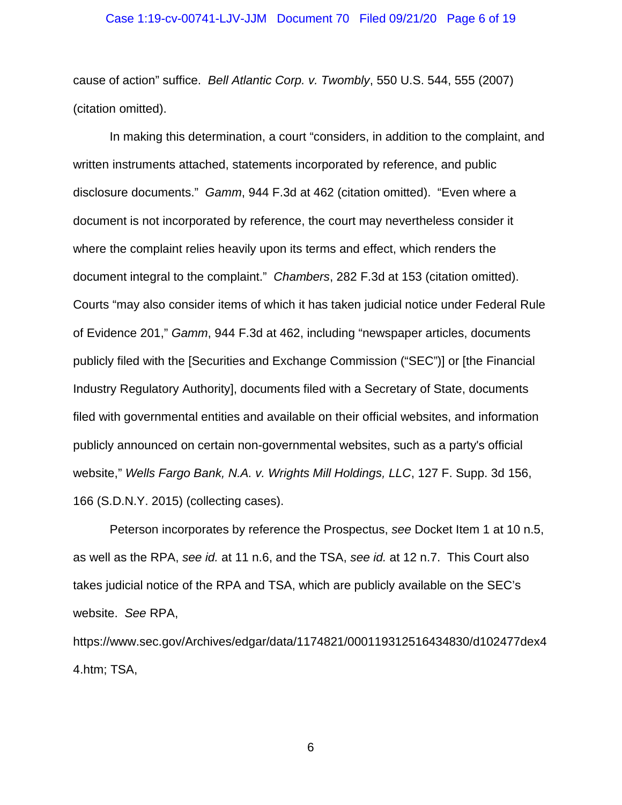#### Case 1:19-cv-00741-LJV-JJM Document 70 Filed 09/21/20 Page 6 of 19

cause of action" suffice. *Bell Atlantic Corp. v. Twombly*, 550 U.S. 544, 555 (2007) (citation omitted).

In making this determination, a court "considers, in addition to the complaint, and written instruments attached, statements incorporated by reference, and public disclosure documents." *Gamm*, 944 F.3d at 462 (citation omitted). "Even where a document is not incorporated by reference, the court may nevertheless consider it where the complaint relies heavily upon its terms and effect, which renders the document integral to the complaint." *Chambers*, 282 F.3d at 153 (citation omitted). Courts "may also consider items of which it has taken judicial notice under Federal Rule of Evidence 201," *Gamm*, 944 F.3d at 462, including "newspaper articles, documents publicly filed with the [Securities and Exchange Commission ("SEC")] or [the Financial Industry Regulatory Authority], documents filed with a Secretary of State, documents filed with governmental entities and available on their official websites, and information publicly announced on certain non-governmental websites, such as a party's official website," *Wells Fargo Bank, N.A. v. Wrights Mill Holdings, LLC*, 127 F. Supp. 3d 156, 166 (S.D.N.Y. 2015) (collecting cases).

Peterson incorporates by reference the Prospectus, *see* Docket Item 1 at 10 n.5, as well as the RPA, *see id.* at 11 n.6, and the TSA, *see id.* at 12 n.7. This Court also takes judicial notice of the RPA and TSA, which are publicly available on the SEC's website. *See* RPA,

https://www.sec.gov/Archives/edgar/data/1174821/000119312516434830/d102477dex4 4.htm; TSA,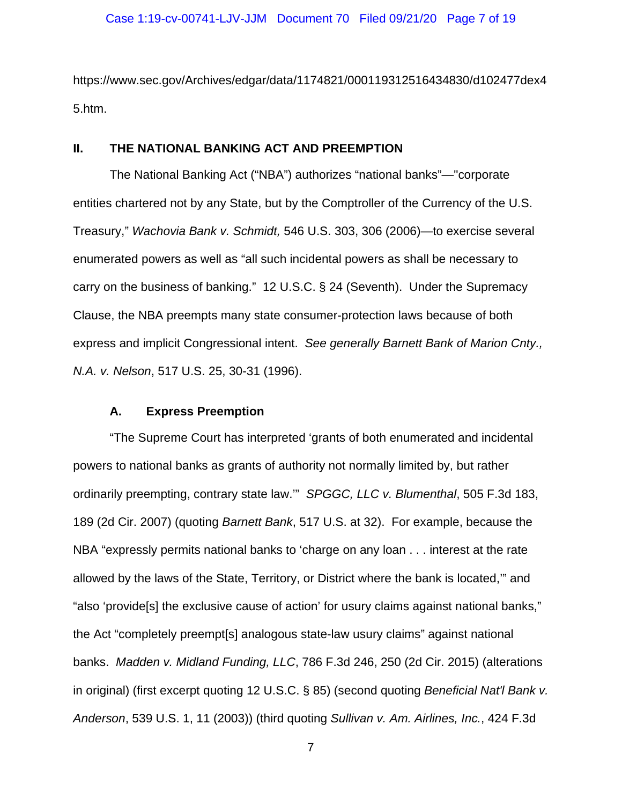https://www.sec.gov/Archives/edgar/data/1174821/000119312516434830/d102477dex4 5.htm.

#### **II. THE NATIONAL BANKING ACT AND PREEMPTION**

The National Banking Act ("NBA") authorizes "national banks"—"corporate entities chartered not by any State, but by the Comptroller of the Currency of the U.S. Treasury," *Wachovia Bank v. Schmidt,* 546 U.S. 303, 306 (2006)—to exercise several enumerated powers as well as "all such incidental powers as shall be necessary to carry on the business of banking." 12 U.S.C. § 24 (Seventh). Under the Supremacy Clause, the NBA preempts many state consumer-protection laws because of both express and implicit Congressional intent. *See generally Barnett Bank of Marion Cnty., N.A. v. Nelson*, 517 U.S. 25, 30-31 (1996).

#### **A. Express Preemption**

"The Supreme Court has interpreted 'grants of both enumerated and incidental powers to national banks as grants of authority not normally limited by, but rather ordinarily preempting, contrary state law.'" *SPGGC, LLC v. Blumenthal*, 505 F.3d 183, 189 (2d Cir. 2007) (quoting *Barnett Bank*, 517 U.S. at 32). For example, because the NBA "expressly permits national banks to 'charge on any loan . . . interest at the rate allowed by the laws of the State, Territory, or District where the bank is located,'" and "also 'provide[s] the exclusive cause of action' for usury claims against national banks," the Act "completely preempt[s] analogous state-law usury claims" against national banks. *Madden v. Midland Funding, LLC*, 786 F.3d 246, 250 (2d Cir. 2015) (alterations in original) (first excerpt quoting 12 U.S.C. § 85) (second quoting *Beneficial Nat'l Bank v. Anderson*, 539 U.S. 1, 11 (2003)) (third quoting *Sullivan v. Am. Airlines, Inc.*, 424 F.3d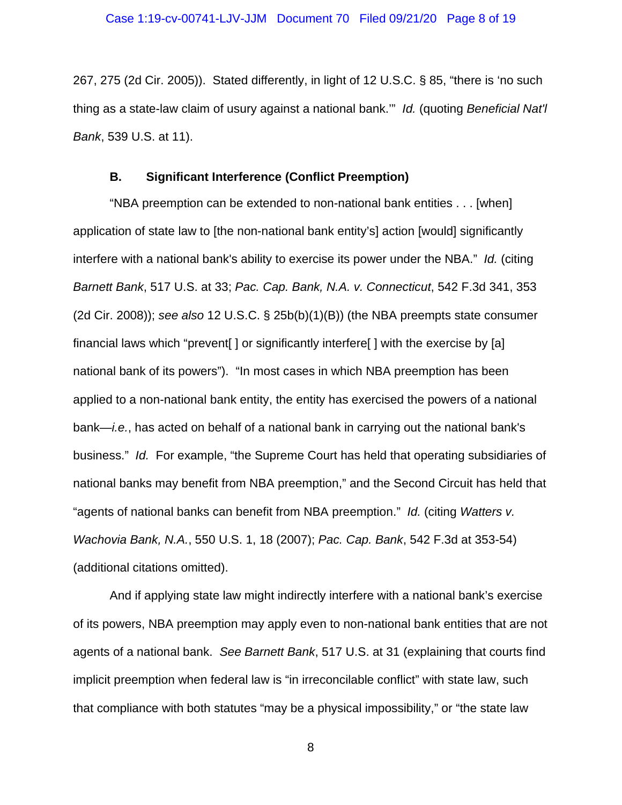267, 275 (2d Cir. 2005)). Stated differently, in light of 12 U.S.C. § 85, "there is 'no such thing as a state-law claim of usury against a national bank.'" *Id.* (quoting *Beneficial Nat'l Bank*, 539 U.S. at 11).

## **B. Significant Interference (Conflict Preemption)**

"NBA preemption can be extended to non-national bank entities . . . [when] application of state law to [the non-national bank entity's] action [would] significantly interfere with a national bank's ability to exercise its power under the NBA." *Id.* (citing *Barnett Bank*, 517 U.S. at 33; *Pac. Cap. Bank, N.A. v. Connecticut*, 542 F.3d 341, 353 (2d Cir. 2008)); *see also* 12 U.S.C. § 25b(b)(1)(B)) (the NBA preempts state consumer financial laws which "prevent[ ] or significantly interfere[ ] with the exercise by [a] national bank of its powers"). "In most cases in which NBA preemption has been applied to a non-national bank entity, the entity has exercised the powers of a national bank—*i.e.*, has acted on behalf of a national bank in carrying out the national bank's business." *Id.* For example, "the Supreme Court has held that operating subsidiaries of national banks may benefit from NBA preemption," and the Second Circuit has held that "agents of national banks can benefit from NBA preemption." *Id.* (citing *Watters v. Wachovia Bank, N.A.*, 550 U.S. 1, 18 (2007); *Pac. Cap. Bank*, 542 F.3d at 353-54) (additional citations omitted).

And if applying state law might indirectly interfere with a national bank's exercise of its powers, NBA preemption may apply even to non-national bank entities that are not agents of a national bank. *See Barnett Bank*, 517 U.S. at 31 (explaining that courts find implicit preemption when federal law is "in irreconcilable conflict" with state law, such that compliance with both statutes "may be a physical impossibility," or "the state law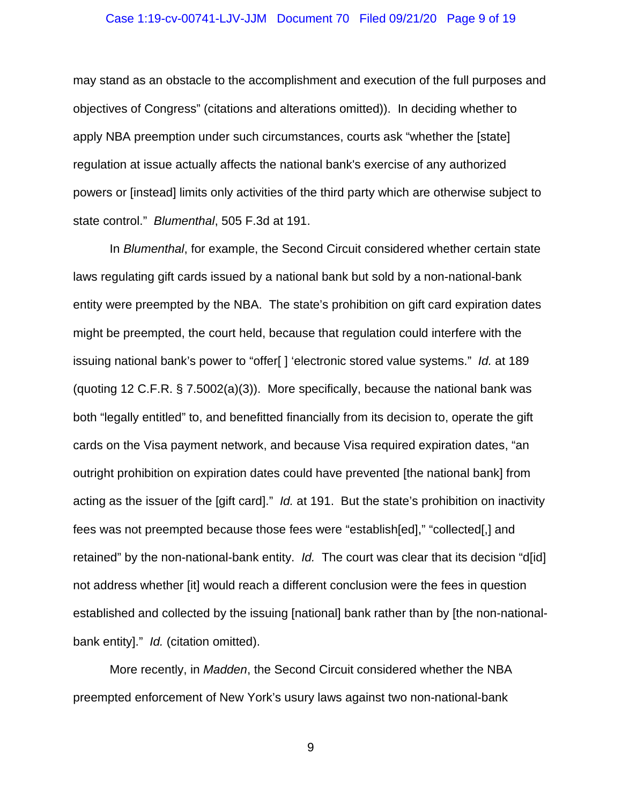#### Case 1:19-cv-00741-LJV-JJM Document 70 Filed 09/21/20 Page 9 of 19

may stand as an obstacle to the accomplishment and execution of the full purposes and objectives of Congress" (citations and alterations omitted)). In deciding whether to apply NBA preemption under such circumstances, courts ask "whether the [state] regulation at issue actually affects the national bank's exercise of any authorized powers or [instead] limits only activities of the third party which are otherwise subject to state control." *Blumenthal*, 505 F.3d at 191.

In *Blumenthal*, for example, the Second Circuit considered whether certain state laws regulating gift cards issued by a national bank but sold by a non-national-bank entity were preempted by the NBA. The state's prohibition on gift card expiration dates might be preempted, the court held, because that regulation could interfere with the issuing national bank's power to "offer[ ] 'electronic stored value systems." *Id.* at 189 (quoting 12 C.F.R.  $\S$  7.5002(a)(3)). More specifically, because the national bank was both "legally entitled" to, and benefitted financially from its decision to, operate the gift cards on the Visa payment network, and because Visa required expiration dates, "an outright prohibition on expiration dates could have prevented [the national bank] from acting as the issuer of the [gift card]." *Id.* at 191. But the state's prohibition on inactivity fees was not preempted because those fees were "establish[ed]," "collected[,] and retained" by the non-national-bank entity. *Id.* The court was clear that its decision "d[id] not address whether [it] would reach a different conclusion were the fees in question established and collected by the issuing [national] bank rather than by [the non-nationalbank entity]." *Id.* (citation omitted).

More recently, in *Madden*, the Second Circuit considered whether the NBA preempted enforcement of New York's usury laws against two non-national-bank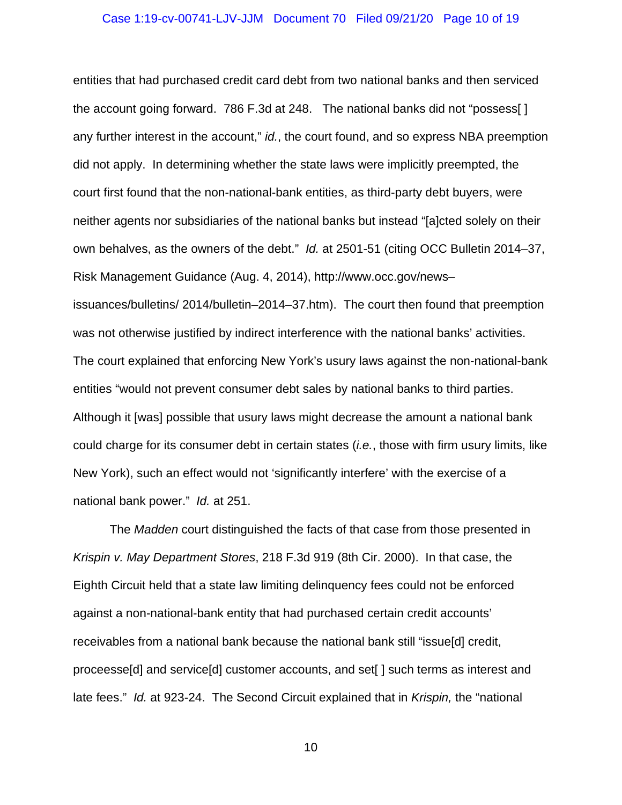#### Case 1:19-cv-00741-LJV-JJM Document 70 Filed 09/21/20 Page 10 of 19

entities that had purchased credit card debt from two national banks and then serviced the account going forward. 786 F.3d at 248. The national banks did not "possess[ ] any further interest in the account," *id.*, the court found, and so express NBA preemption did not apply. In determining whether the state laws were implicitly preempted, the court first found that the non-national-bank entities, as third-party debt buyers, were neither agents nor subsidiaries of the national banks but instead "[a]cted solely on their own behalves, as the owners of the debt." *Id.* at 2501-51 (citing OCC Bulletin 2014–37, Risk Management Guidance (Aug. 4, 2014), http://www.occ.gov/news– issuances/bulletins/ 2014/bulletin–2014–37.htm). The court then found that preemption was not otherwise justified by indirect interference with the national banks' activities. The court explained that enforcing New York's usury laws against the non-national-bank entities "would not prevent consumer debt sales by national banks to third parties. Although it [was] possible that usury laws might decrease the amount a national bank could charge for its consumer debt in certain states (*i.e.*, those with firm usury limits, like New York), such an effect would not 'significantly interfere' with the exercise of a national bank power." *Id.* at 251.

The *Madden* court distinguished the facts of that case from those presented in *Krispin v. May Department Stores*, 218 F.3d 919 (8th Cir. 2000). In that case, the Eighth Circuit held that a state law limiting delinquency fees could not be enforced against a non-national-bank entity that had purchased certain credit accounts' receivables from a national bank because the national bank still "issue[d] credit, proceesse[d] and service[d] customer accounts, and set[ ] such terms as interest and late fees." *Id.* at 923-24. The Second Circuit explained that in *Krispin,* the "national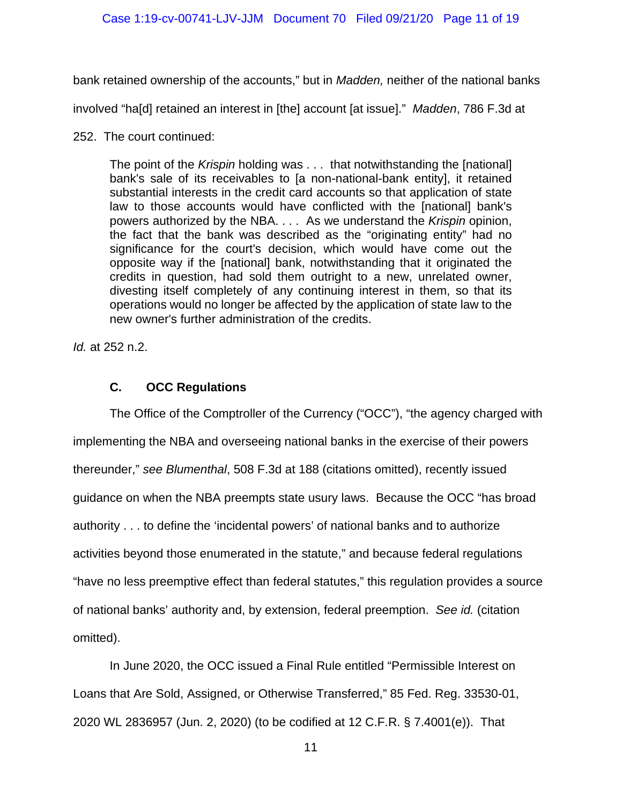bank retained ownership of the accounts," but in *Madden,* neither of the national banks

involved "ha[d] retained an interest in [the] account [at issue]." *Madden*, 786 F.3d at

252. The court continued:

The point of the *Krispin* holding was . . . that notwithstanding the [national] bank's sale of its receivables to [a non-national-bank entity], it retained substantial interests in the credit card accounts so that application of state law to those accounts would have conflicted with the [national] bank's powers authorized by the NBA. . . . As we understand the *Krispin* opinion, the fact that the bank was described as the "originating entity" had no significance for the court's decision, which would have come out the opposite way if the [national] bank, notwithstanding that it originated the credits in question, had sold them outright to a new, unrelated owner, divesting itself completely of any continuing interest in them, so that its operations would no longer be affected by the application of state law to the new owner's further administration of the credits.

*Id.* at 252 n.2.

# **C. OCC Regulations**

The Office of the Comptroller of the Currency ("OCC"), "the agency charged with implementing the NBA and overseeing national banks in the exercise of their powers thereunder," *see Blumenthal*, 508 F.3d at 188 (citations omitted), recently issued guidance on when the NBA preempts state usury laws. Because the OCC "has broad authority . . . to define the 'incidental powers' of national banks and to authorize activities beyond those enumerated in the statute," and because federal regulations "have no less preemptive effect than federal statutes," this regulation provides a source of national banks' authority and, by extension, federal preemption. *See id.* (citation omitted).

In June 2020, the OCC issued a Final Rule entitled "Permissible Interest on Loans that Are Sold, Assigned, or Otherwise Transferred," 85 Fed. Reg. 33530-01, 2020 WL 2836957 (Jun. 2, 2020) (to be codified at 12 C.F.R. § 7.4001(e)). That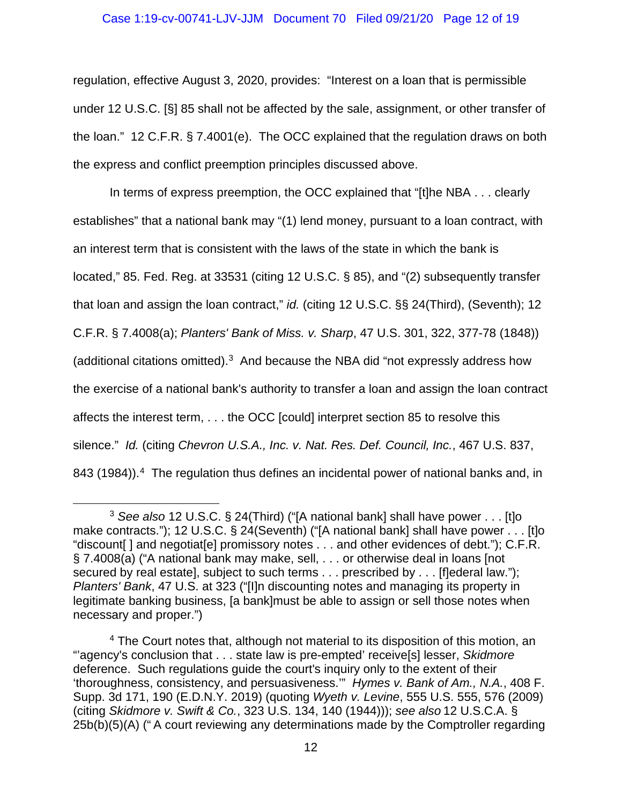#### Case 1:19-cv-00741-LJV-JJM Document 70 Filed 09/21/20 Page 12 of 19

regulation, effective August 3, 2020, provides: "Interest on a loan that is permissible under 12 U.S.C. [§] 85 shall not be affected by the sale, assignment, or other transfer of the loan." 12 C.F.R. § 7.4001(e). The OCC explained that the regulation draws on both the express and conflict preemption principles discussed above.

In terms of express preemption, the OCC explained that "[t]he NBA . . . clearly establishes" that a national bank may "(1) lend money, pursuant to a loan contract, with an interest term that is consistent with the laws of the state in which the bank is located," 85. Fed. Reg. at 33531 (citing 12 U.S.C. § 85), and "(2) subsequently transfer that loan and assign the loan contract," *id.* (citing 12 U.S.C. §§ 24(Third), (Seventh); 12 C.F.R. § 7.4008(a); *Planters' Bank of Miss. v. Sharp*, 47 U.S. 301, 322, 377-78 (1848)) (additional citations omitted).[3](#page-11-0) And because the NBA did "not expressly address how the exercise of a national bank's authority to transfer a loan and assign the loan contract affects the interest term, . . . the OCC [could] interpret section 85 to resolve this silence." *Id.* (citing *Chevron U.S.A., Inc. v. Nat. Res. Def. Council, Inc.*, 467 U.S. 837, 8[4](#page-11-1)3 (1984)).<sup>4</sup> The regulation thus defines an incidental power of national banks and, in

<span id="page-11-0"></span><sup>3</sup> *See also* 12 U.S.C. § 24(Third) ("[A national bank] shall have power . . . [t]o make contracts."); 12 U.S.C. § 24(Seventh) ("[A national bank] shall have power . . . [t]o "discount[ ] and negotiat[e] promissory notes . . . and other evidences of debt."); C.F.R. § 7.4008(a) ("A national bank may make, sell, . . . or otherwise deal in loans [not secured by real estate], subject to such terms . . . prescribed by . . . [f]ederal law."); *Planters' Bank*, 47 U.S. at 323 ("[I]n discounting notes and managing its property in legitimate banking business, [a bank]must be able to assign or sell those notes when necessary and proper.")

<span id="page-11-1"></span><sup>4</sup> The Court notes that, although not material to its disposition of this motion, an "'agency's conclusion that . . . state law is pre-empted' receive[s] lesser, *Skidmore* deference. Such regulations guide the court's inquiry only to the extent of their 'thoroughness, consistency, and persuasiveness.'" *Hymes v. Bank of Am., N.A.*, 408 F. Supp. 3d 171, 190 (E.D.N.Y. 2019) (quoting *Wyeth v. Levine*, 555 U.S. 555, 576 (2009) (citing *Skidmore v. Swift & Co.*, 323 U.S. 134, 140 (1944))); *see also* 12 U.S.C.A. § 25b(b)(5)(A) (" A court reviewing any determinations made by the Comptroller regarding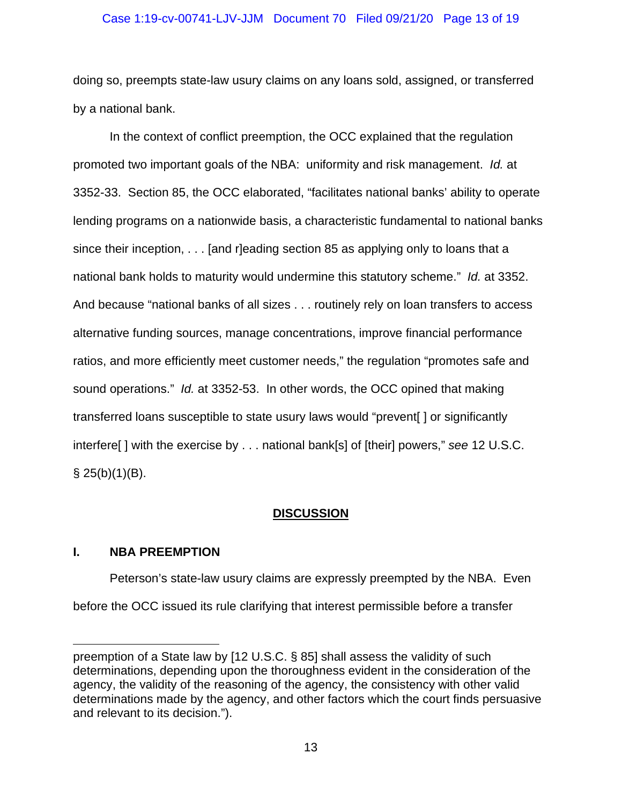#### Case 1:19-cv-00741-LJV-JJM Document 70 Filed 09/21/20 Page 13 of 19

doing so, preempts state-law usury claims on any loans sold, assigned, or transferred by a national bank.

In the context of conflict preemption, the OCC explained that the regulation promoted two important goals of the NBA: uniformity and risk management. *Id.* at 3352-33. Section 85, the OCC elaborated, "facilitates national banks' ability to operate lending programs on a nationwide basis, a characteristic fundamental to national banks since their inception, . . . [and r]eading section 85 as applying only to loans that a national bank holds to maturity would undermine this statutory scheme." *Id.* at 3352. And because "national banks of all sizes . . . routinely rely on loan transfers to access alternative funding sources, manage concentrations, improve financial performance ratios, and more efficiently meet customer needs," the regulation "promotes safe and sound operations." *Id.* at 3352-53. In other words, the OCC opined that making transferred loans susceptible to state usury laws would "prevent[ ] or significantly interfere[ ] with the exercise by . . . national bank[s] of [their] powers," *see* 12 U.S.C.  $\S$  25(b)(1)(B).

## **DISCUSSION**

## **I. NBA PREEMPTION**

Peterson's state-law usury claims are expressly preempted by the NBA. Even before the OCC issued its rule clarifying that interest permissible before a transfer

preemption of a State law by [12 U.S.C. § 85] shall assess the validity of such determinations, depending upon the thoroughness evident in the consideration of the agency, the validity of the reasoning of the agency, the consistency with other valid determinations made by the agency, and other factors which the court finds persuasive and relevant to its decision.").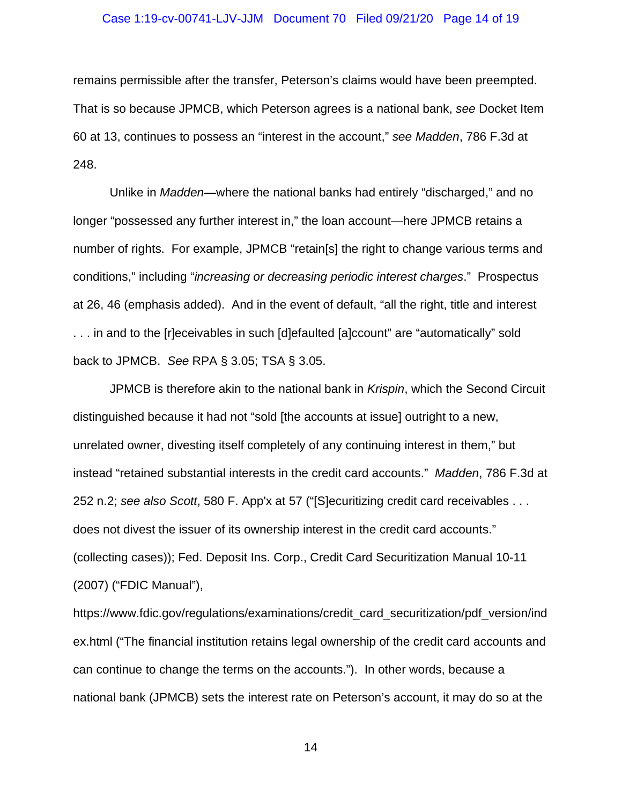#### Case 1:19-cv-00741-LJV-JJM Document 70 Filed 09/21/20 Page 14 of 19

remains permissible after the transfer, Peterson's claims would have been preempted. That is so because JPMCB, which Peterson agrees is a national bank, *see* Docket Item 60 at 13, continues to possess an "interest in the account," *see Madden*, 786 F.3d at 248.

Unlike in *Madden*—where the national banks had entirely "discharged," and no longer "possessed any further interest in," the loan account—here JPMCB retains a number of rights. For example, JPMCB "retain[s] the right to change various terms and conditions," including "*increasing or decreasing periodic interest charges*." Prospectus at 26, 46 (emphasis added). And in the event of default, "all the right, title and interest . . . in and to the [r]eceivables in such [d]efaulted [a]ccount" are "automatically" sold back to JPMCB. *See* RPA § 3.05; TSA § 3.05.

JPMCB is therefore akin to the national bank in *Krispin*, which the Second Circuit distinguished because it had not "sold [the accounts at issue] outright to a new, unrelated owner, divesting itself completely of any continuing interest in them," but instead "retained substantial interests in the credit card accounts." *Madden*, 786 F.3d at 252 n.2; *see also Scott*, 580 F. App'x at 57 ("[S]ecuritizing credit card receivables . . . does not divest the issuer of its ownership interest in the credit card accounts." (collecting cases)); Fed. Deposit Ins. Corp., Credit Card Securitization Manual 10-11 (2007) ("FDIC Manual"),

https://www.fdic.gov/regulations/examinations/credit\_card\_securitization/pdf\_version/ind ex.html ("The financial institution retains legal ownership of the credit card accounts and can continue to change the terms on the accounts."). In other words, because a national bank (JPMCB) sets the interest rate on Peterson's account, it may do so at the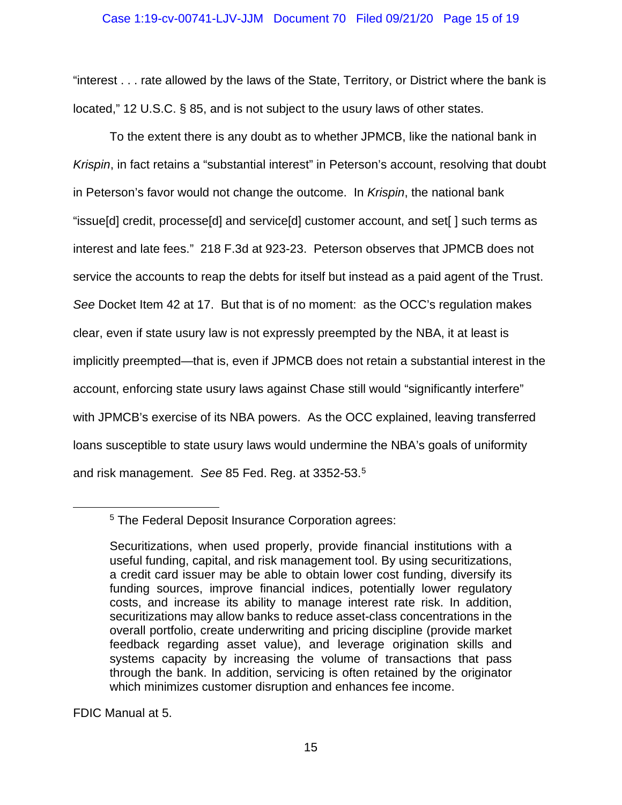#### Case 1:19-cv-00741-LJV-JJM Document 70 Filed 09/21/20 Page 15 of 19

"interest . . . rate allowed by the laws of the State, Territory, or District where the bank is located," 12 U.S.C. § 85, and is not subject to the usury laws of other states.

To the extent there is any doubt as to whether JPMCB, like the national bank in *Krispin*, in fact retains a "substantial interest" in Peterson's account, resolving that doubt in Peterson's favor would not change the outcome. In *Krispin*, the national bank "issue[d] credit, processe[d] and service[d] customer account, and set[ ] such terms as interest and late fees." 218 F.3d at 923-23. Peterson observes that JPMCB does not service the accounts to reap the debts for itself but instead as a paid agent of the Trust. *See* Docket Item 42 at 17. But that is of no moment: as the OCC's regulation makes clear, even if state usury law is not expressly preempted by the NBA, it at least is implicitly preempted—that is, even if JPMCB does not retain a substantial interest in the account, enforcing state usury laws against Chase still would "significantly interfere" with JPMCB's exercise of its NBA powers. As the OCC explained, leaving transferred loans susceptible to state usury laws would undermine the NBA's goals of uniformity and risk management. *See* 85 Fed. Reg. at 3352-53.[5](#page-14-0)

FDIC Manual at 5.

<span id="page-14-0"></span><sup>5</sup> The Federal Deposit Insurance Corporation agrees:

Securitizations, when used properly, provide financial institutions with a useful funding, capital, and risk management tool. By using securitizations, a credit card issuer may be able to obtain lower cost funding, diversify its funding sources, improve financial indices, potentially lower regulatory costs, and increase its ability to manage interest rate risk. In addition, securitizations may allow banks to reduce asset-class concentrations in the overall portfolio, create underwriting and pricing discipline (provide market feedback regarding asset value), and leverage origination skills and systems capacity by increasing the volume of transactions that pass through the bank. In addition, servicing is often retained by the originator which minimizes customer disruption and enhances fee income.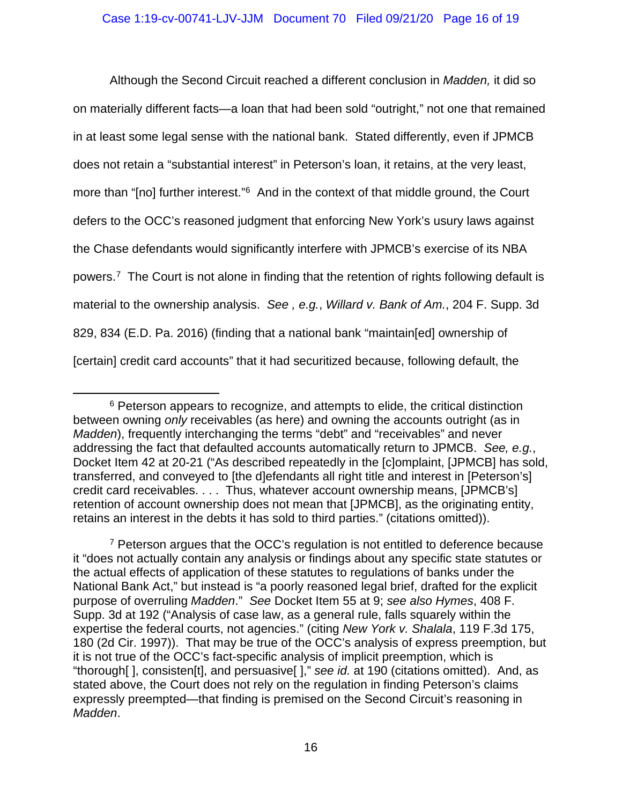Although the Second Circuit reached a different conclusion in *Madden,* it did so on materially different facts—a loan that had been sold "outright," not one that remained in at least some legal sense with the national bank. Stated differently, even if JPMCB does not retain a "substantial interest" in Peterson's loan, it retains, at the very least, more than "[no] further interest."[6](#page-15-0) And in the context of that middle ground, the Court defers to the OCC's reasoned judgment that enforcing New York's usury laws against the Chase defendants would significantly interfere with JPMCB's exercise of its NBA powers[.7](#page-15-1) The Court is not alone in finding that the retention of rights following default is material to the ownership analysis. *See , e.g.*, *Willard v. Bank of Am.*, 204 F. Supp. 3d 829, 834 (E.D. Pa. 2016) (finding that a national bank "maintain[ed] ownership of [certain] credit card accounts" that it had securitized because, following default, the

<span id="page-15-0"></span><sup>&</sup>lt;sup>6</sup> Peterson appears to recognize, and attempts to elide, the critical distinction between owning *only* receivables (as here) and owning the accounts outright (as in *Madden*), frequently interchanging the terms "debt" and "receivables" and never addressing the fact that defaulted accounts automatically return to JPMCB. *See, e.g.*, Docket Item 42 at 20-21 ("As described repeatedly in the [c]omplaint, [JPMCB] has sold, transferred, and conveyed to [the d]efendants all right title and interest in [Peterson's] credit card receivables. . . . Thus, whatever account ownership means, [JPMCB's] retention of account ownership does not mean that [JPMCB], as the originating entity, retains an interest in the debts it has sold to third parties." (citations omitted)).

<span id="page-15-1"></span><sup>&</sup>lt;sup>7</sup> Peterson argues that the OCC's regulation is not entitled to deference because it "does not actually contain any analysis or findings about any specific state statutes or the actual effects of application of these statutes to regulations of banks under the National Bank Act," but instead is "a poorly reasoned legal brief, drafted for the explicit purpose of overruling *Madden*." *See* Docket Item 55 at 9; *see also Hymes*, 408 F. Supp. 3d at 192 ("Analysis of case law, as a general rule, falls squarely within the expertise the federal courts, not agencies." (citing *New York v. Shalala*, 119 F.3d 175, 180 (2d Cir. 1997)). That may be true of the OCC's analysis of express preemption, but it is not true of the OCC's fact-specific analysis of implicit preemption, which is "thorough[ ], consisten[t], and persuasive[ ]," *see id.* at 190 (citations omitted). And, as stated above, the Court does not rely on the regulation in finding Peterson's claims expressly preempted—that finding is premised on the Second Circuit's reasoning in *Madden*.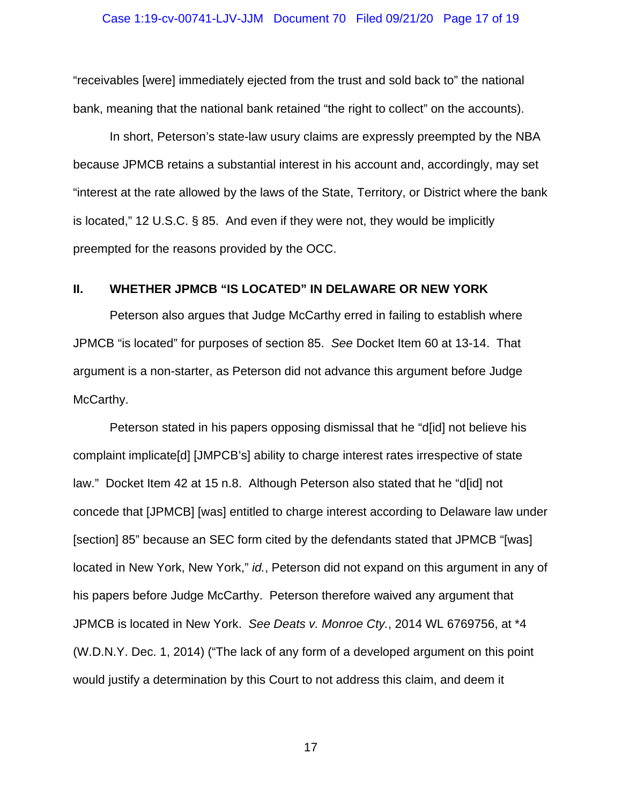"receivables [were] immediately ejected from the trust and sold back to" the national bank, meaning that the national bank retained "the right to collect" on the accounts).

In short, Peterson's state-law usury claims are expressly preempted by the NBA because JPMCB retains a substantial interest in his account and, accordingly, may set "interest at the rate allowed by the laws of the State, Territory, or District where the bank is located," 12 U.S.C. § 85. And even if they were not, they would be implicitly preempted for the reasons provided by the OCC.

## **II. WHETHER JPMCB "IS LOCATED" IN DELAWARE OR NEW YORK**

Peterson also argues that Judge McCarthy erred in failing to establish where JPMCB "is located" for purposes of section 85. *See* Docket Item 60 at 13-14. That argument is a non-starter, as Peterson did not advance this argument before Judge McCarthy.

Peterson stated in his papers opposing dismissal that he "d[id] not believe his complaint implicate[d] [JMPCB's] ability to charge interest rates irrespective of state law." Docket Item 42 at 15 n.8. Although Peterson also stated that he "d[id] not concede that [JPMCB] [was] entitled to charge interest according to Delaware law under [section] 85" because an SEC form cited by the defendants stated that JPMCB "[was] located in New York, New York," *id.*, Peterson did not expand on this argument in any of his papers before Judge McCarthy. Peterson therefore waived any argument that JPMCB is located in New York. *See Deats v. Monroe Cty.*, 2014 WL 6769756, at \*4 (W.D.N.Y. Dec. 1, 2014) ("The lack of any form of a developed argument on this point would justify a determination by this Court to not address this claim, and deem it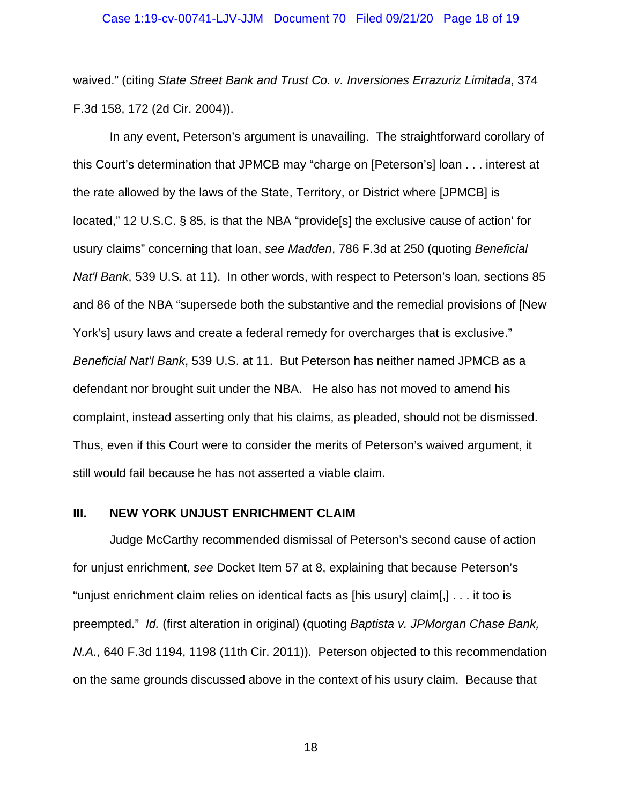#### Case 1:19-cv-00741-LJV-JJM Document 70 Filed 09/21/20 Page 18 of 19

waived." (citing *State Street Bank and Trust Co. v. Inversiones Errazuriz Limitada*, 374 F.3d 158, 172 (2d Cir. 2004)).

In any event, Peterson's argument is unavailing. The straightforward corollary of this Court's determination that JPMCB may "charge on [Peterson's] loan . . . interest at the rate allowed by the laws of the State, Territory, or District where [JPMCB] is located," 12 U.S.C. § 85, is that the NBA "provide[s] the exclusive cause of action' for usury claims" concerning that loan, *see Madden*, 786 F.3d at 250 (quoting *Beneficial Nat'l Bank*, 539 U.S. at 11). In other words, with respect to Peterson's loan, sections 85 and 86 of the NBA "supersede both the substantive and the remedial provisions of [New York's] usury laws and create a federal remedy for overcharges that is exclusive." *Beneficial Nat'l Bank*, 539 U.S. at 11. But Peterson has neither named JPMCB as a defendant nor brought suit under the NBA. He also has not moved to amend his complaint, instead asserting only that his claims, as pleaded, should not be dismissed. Thus, even if this Court were to consider the merits of Peterson's waived argument, it still would fail because he has not asserted a viable claim.

## **III. NEW YORK UNJUST ENRICHMENT CLAIM**

Judge McCarthy recommended dismissal of Peterson's second cause of action for unjust enrichment, *see* Docket Item 57 at 8, explaining that because Peterson's "unjust enrichment claim relies on identical facts as [his usury] claim[,] . . . it too is preempted." *Id.* (first alteration in original) (quoting *Baptista v. JPMorgan Chase Bank, N.A.*, 640 F.3d 1194, 1198 (11th Cir. 2011)). Peterson objected to this recommendation on the same grounds discussed above in the context of his usury claim. Because that